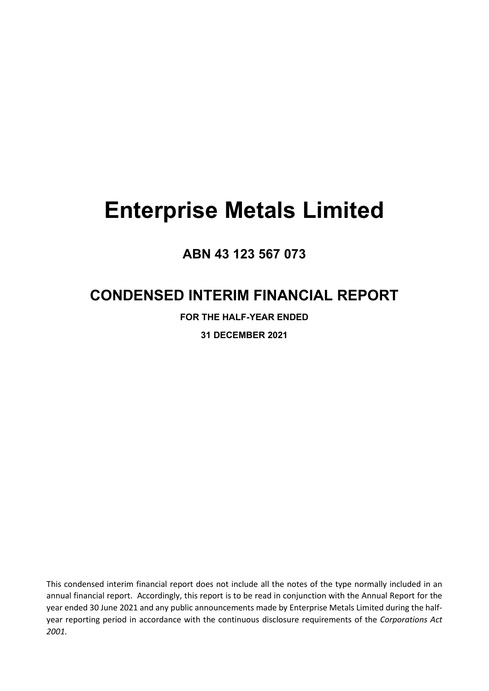# **ABN 43 123 567 073**

# **CONDENSED INTERIM FINANCIAL REPORT**

**FOR THE HALF-YEAR ENDED 31 DECEMBER 2021**

This condensed interim financial report does not include all the notes of the type normally included in an annual financial report. Accordingly, this report is to be read in conjunction with the Annual Report for the year ended 30 June 2021 and any public announcements made by Enterprise Metals Limited during the halfyear reporting period in accordance with the continuous disclosure requirements of the *Corporations Act 2001.*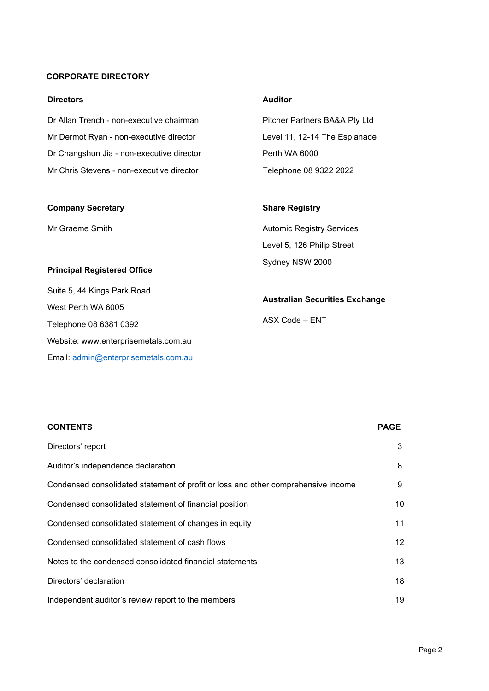# **CORPORATE DIRECTORY**

#### **Directors**

| Dr Allan Trench - non-executive chairman  | Pitcher Partners BA&A Pty Ltd |
|-------------------------------------------|-------------------------------|
| Mr Dermot Ryan - non-executive director   | Level 11, 12-14 The Esplanade |
| Dr Changshun Jia - non-executive director | Perth WA 6000                 |
| Mr Chris Stevens - non-executive director | Telephone 08 9322 2022        |
|                                           |                               |

#### **Company Secretary**

Mr Graeme Smith

#### **Principal Registered Office**

Suite 5, 44 Kings Park Road West Perth WA 6005 Telephone 08 6381 0392 Website: [www.enterprisemetals.com.au](http://www.enterprisemetals.com.au/) Email: [admin@enterprisemetals.com.au](mailto:admin@enterprisemetals.com.au)

# **Auditor**

# **Share Registry**

Automic Registry Services Level 5, 126 Philip Street Sydney NSW 2000

## **Australian Securities Exchange**

ASX Code – ENT

| <b>CONTENTS</b>                                                                   | <b>PAGE</b> |
|-----------------------------------------------------------------------------------|-------------|
| Directors' report                                                                 | 3           |
| Auditor's independence declaration                                                | 8           |
| Condensed consolidated statement of profit or loss and other comprehensive income | 9           |
| Condensed consolidated statement of financial position                            | 10          |
| Condensed consolidated statement of changes in equity                             | 11          |
| Condensed consolidated statement of cash flows                                    | 12          |
| Notes to the condensed consolidated financial statements                          | 13          |
| Directors' declaration                                                            | 18          |
| Independent auditor's review report to the members                                | 19          |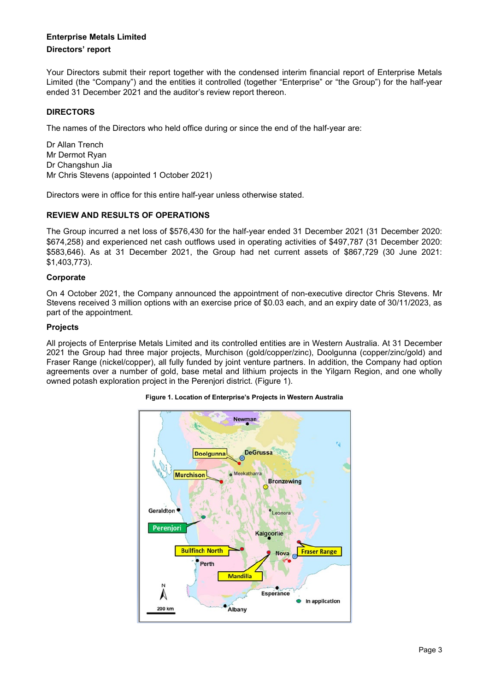#### **Directors' report**

Your Directors submit their report together with the condensed interim financial report of Enterprise Metals Limited (the "Company") and the entities it controlled (together "Enterprise" or "the Group") for the half-year ended 31 December 2021 and the auditor's review report thereon.

# **DIRECTORS**

The names of the Directors who held office during or since the end of the half-year are:

Dr Allan Trench Mr Dermot Ryan Dr Changshun Jia Mr Chris Stevens (appointed 1 October 2021)

Directors were in office for this entire half-year unless otherwise stated.

#### **REVIEW AND RESULTS OF OPERATIONS**

The Group incurred a net loss of \$576,430 for the half-year ended 31 December 2021 (31 December 2020: \$674,258) and experienced net cash outflows used in operating activities of \$497,787 (31 December 2020: \$583,646). As at 31 December 2021, the Group had net current assets of \$867,729 (30 June 2021: \$1,403,773).

#### **Corporate**

On 4 October 2021, the Company announced the appointment of non-executive director Chris Stevens. Mr Stevens received 3 million options with an exercise price of \$0.03 each, and an expiry date of 30/11/2023, as part of the appointment.

#### **Projects**

All projects of Enterprise Metals Limited and its controlled entities are in Western Australia. At 31 December 2021 the Group had three major projects, Murchison (gold/copper/zinc), Doolgunna (copper/zinc/gold) and Fraser Range (nickel/copper), all fully funded by joint venture partners. In addition, the Company had option agreements over a number of gold, base metal and lithium projects in the Yilgarn Region, and one wholly owned potash exploration project in the Perenjori district. (Figure 1).



#### **Figure 1. Location of Enterprise's Projects in Western Australia**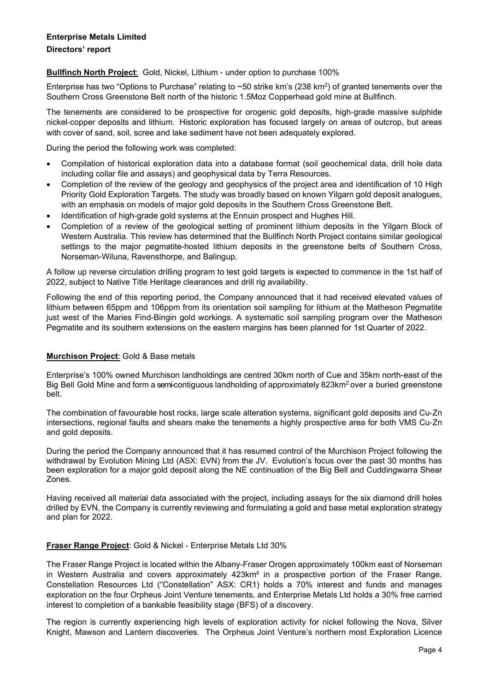# **Directors' report**

**Bullfinch North Project**: Gold, Nickel, Lithium - under option to purchase 100%

Enterprise has two "Options to Purchase" relating to ~50 strike km's (238 km2) of granted tenements over the Southern Cross Greenstone Belt north of the historic 1.5Moz Copperhead gold mine at Bullfinch.

The tenements are considered to be prospective for orogenic gold deposits, high-grade massive sulphide nickel‐copper deposits and lithium. Historic exploration has focused largely on areas of outcrop, but areas with cover of sand, soil, scree and lake sediment have not been adequately explored.

During the period the following work was completed:

- Compilation of historical exploration data into a database format (soil geochemical data, drill hole data including collar file and assays) and geophysical data by Terra Resources.
- Completion of the review of the geology and geophysics of the project area and identification of 10 High Priority Gold Exploration Targets. The study was broadly based on known Yilgarn gold deposit analogues, with an emphasis on models of major gold deposits in the Southern Cross Greenstone Belt.
- Identification of high-grade gold systems at the Ennuin prospect and Hughes Hill.
- Completion of a review of the geological setting of prominent lithium deposits in the Yilgarn Block of Western Australia. This review has determined that the Bullfinch North Project contains similar geological settings to the major pegmatite-hosted lithium deposits in the greenstone belts of Southern Cross, Norseman-Wiluna, Ravensthorpe, and Balingup.

A follow up reverse circulation drilling program to test gold targets is expected to commence in the 1st half of 2022, subject to Native Title Heritage clearances and drill rig availability.

Following the end of this reporting period, the Company announced that it had received elevated values of lithium between 65ppm and 106ppm from its orientation soil sampling for lithium at the Matheson Pegmatite just west of the Maries Find-Bingin gold workings. A systematic soil sampling program over the Matheson Pegmatite and its southern extensions on the eastern margins has been planned for 1st Quarter of 2022.

# **Murchison Project**: Gold & Base metals

Enterprise's 100% owned Murchison landholdings are centred 30km north of Cue and 35km north-east of the Big Bell Gold Mine and form a semi-contiguous landholding of approximately 823km<sup>2</sup> over a buried greenstone belt.

The combination of favourable host rocks, large scale alteration systems, significant gold deposits and Cu‐Zn intersections, regional faults and shears make the tenements a highly prospective area for both VMS Cu‐Zn and gold deposits.

During the period the Company announced that it has resumed control of the Murchison Project following the withdrawal by Evolution Mining Ltd (ASX: EVN) from the JV. Evolution's focus over the past 30 months has been exploration for a major gold deposit along the NE continuation of the Big Bell and Cuddingwarra Shear Zones.

Having received all material data associated with the project, including assays for the six diamond drill holes drilled by EVN, the Company is currently reviewing and formulating a gold and base metal exploration strategy and plan for 2022.

# **Fraser Range Project**: Gold & Nickel - Enterprise Metals Ltd 30%

The Fraser Range Project is located within the Albany-Fraser Orogen approximately 100km east of Norseman in Western Australia and covers approximately 423km² in a prospective portion of the Fraser Range. Constellation Resources Ltd ("Constellation" ASX: CR1) holds a 70% interest and funds and manages exploration on the four Orpheus Joint Venture tenements, and Enterprise Metals Ltd holds a 30% free carried interest to completion of a bankable feasibility stage (BFS) of a discovery.

The region is currently experiencing high levels of exploration activity for nickel following the Nova, Silver Knight, Mawson and Lantern discoveries. The Orpheus Joint Venture's northern most Exploration Licence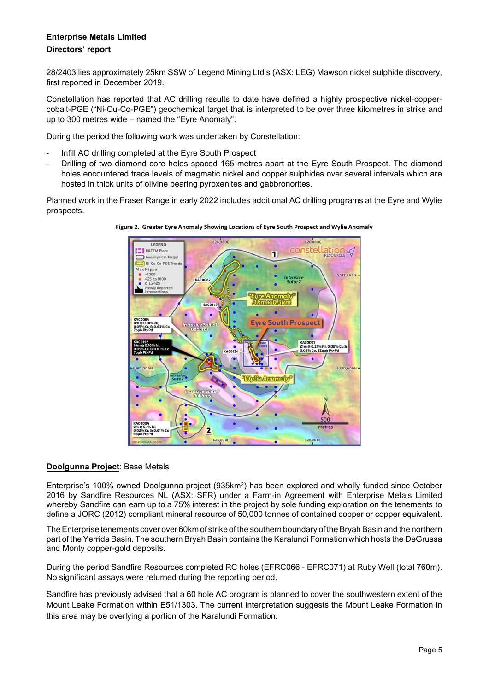# **Enterprise Metals Limited Directors' report**

28/2403 lies approximately 25km SSW of Legend Mining Ltd's (ASX: LEG) Mawson nickel sulphide discovery, first reported in December 2019.

Constellation has reported that AC drilling results to date have defined a highly prospective nickel-coppercobalt-PGE ("Ni-Cu-Co-PGE") geochemical target that is interpreted to be over three kilometres in strike and up to 300 metres wide – named the "Eyre Anomaly".

During the period the following work was undertaken by Constellation:

- Infill AC drilling completed at the Eyre South Prospect
- Drilling of two diamond core holes spaced 165 metres apart at the Eyre South Prospect. The diamond holes encountered trace levels of magmatic nickel and copper sulphides over several intervals which are hosted in thick units of olivine bearing pyroxenites and gabbronorites.

Planned work in the Fraser Range in early 2022 includes additional AC drilling programs at the Eyre and Wylie prospects.





#### **Doolgunna Project**: Base Metals

Enterprise's 100% owned Doolgunna project (935km2) has been explored and wholly funded since October 2016 by Sandfire Resources NL (ASX: SFR) under a Farm-in Agreement with Enterprise Metals Limited whereby Sandfire can earn up to a 75% interest in the project by sole funding exploration on the tenements to define a JORC (2012) compliant mineral resource of 50,000 tonnes of contained copper or copper equivalent.

The Enterprise tenements cover over 60km of strike of the southern boundary of the Bryah Basin and the northern part of the Yerrida Basin. The southern Bryah Basin contains the Karalundi Formation which hosts the DeGrussa and Monty copper-gold deposits.

During the period Sandfire Resources completed RC holes (EFRC066 - EFRC071) at Ruby Well (total 760m). No significant assays were returned during the reporting period.

Sandfire has previously advised that a 60 hole AC program is planned to cover the southwestern extent of the Mount Leake Formation within E51/1303. The current interpretation suggests the Mount Leake Formation in this area may be overlying a portion of the Karalundi Formation.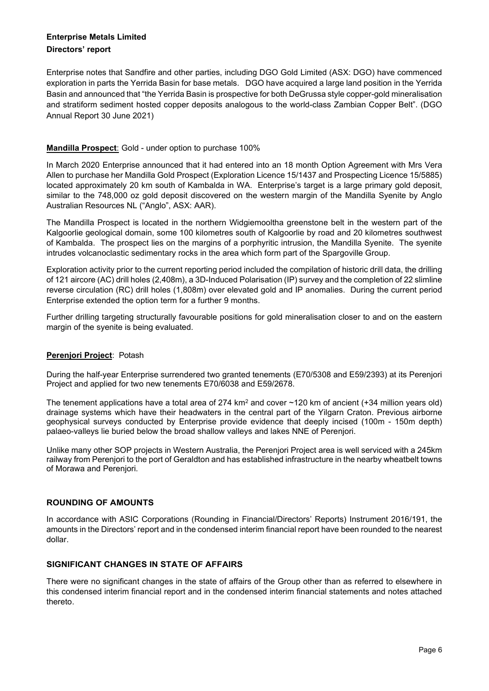# **Enterprise Metals Limited Directors' report**

Enterprise notes that Sandfire and other parties, including DGO Gold Limited (ASX: DGO) have commenced exploration in parts the Yerrida Basin for base metals. DGO have acquired a large land position in the Yerrida Basin and announced that "the Yerrida Basin is prospective for both DeGrussa style copper-gold mineralisation and stratiform sediment hosted copper deposits analogous to the world-class Zambian Copper Belt". (DGO Annual Report 30 June 2021)

# **Mandilla Prospect**: Gold - under option to purchase 100%

In March 2020 Enterprise announced that it had entered into an 18 month Option Agreement with Mrs Vera Allen to purchase her Mandilla Gold Prospect (Exploration Licence 15/1437 and Prospecting Licence 15/5885) located approximately 20 km south of Kambalda in WA. Enterprise's target is a large primary gold deposit, similar to the 748,000 oz gold deposit discovered on the western margin of the Mandilla Syenite by Anglo Australian Resources NL ("Anglo", ASX: AAR).

The Mandilla Prospect is located in the northern Widgiemooltha greenstone belt in the western part of the Kalgoorlie geological domain, some 100 kilometres south of Kalgoorlie by road and 20 kilometres southwest of Kambalda. The prospect lies on the margins of a porphyritic intrusion, the Mandilla Syenite. The syenite intrudes volcanoclastic sedimentary rocks in the area which form part of the Spargoville Group.

Exploration activity prior to the current reporting period included the compilation of historic drill data, the drilling of 121 aircore (AC) drill holes (2,408m), a 3D-Induced Polarisation (IP) survey and the completion of 22 slimline reverse circulation (RC) drill holes (1,808m) over elevated gold and IP anomalies. During the current period Enterprise extended the option term for a further 9 months.

Further drilling targeting structurally favourable positions for gold mineralisation closer to and on the eastern margin of the syenite is being evaluated.

#### **Perenjori Project**: Potash

During the half-year Enterprise surrendered two granted tenements (E70/5308 and E59/2393) at its Perenjori Project and applied for two new tenements E70/6038 and E59/2678.

The tenement applications have a total area of 274  $km^2$  and cover  $\sim$  120 km of ancient (+34 million years old) drainage systems which have their headwaters in the central part of the Yilgarn Craton. Previous airborne geophysical surveys conducted by Enterprise provide evidence that deeply incised (100m - 150m depth) palaeo-valleys lie buried below the broad shallow valleys and lakes NNE of Perenjori.

Unlike many other SOP projects in Western Australia, the Perenjori Project area is well serviced with a 245km railway from Perenjori to the port of Geraldton and has established infrastructure in the nearby wheatbelt towns of Morawa and Perenjori.

#### **ROUNDING OF AMOUNTS**

In accordance with ASIC Corporations (Rounding in Financial/Directors' Reports) Instrument 2016/191, the amounts in the Directors' report and in the condensed interim financial report have been rounded to the nearest dollar.

#### **SIGNIFICANT CHANGES IN STATE OF AFFAIRS**

There were no significant changes in the state of affairs of the Group other than as referred to elsewhere in this condensed interim financial report and in the condensed interim financial statements and notes attached thereto.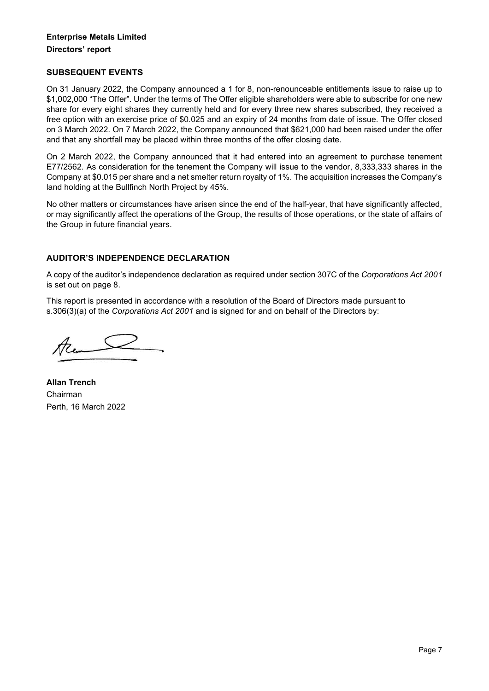# **Enterprise Metals Limited Directors' report**

#### **SUBSEQUENT EVENTS**

On 31 January 2022, the Company announced a 1 for 8, non-renounceable entitlements issue to raise up to \$1,002,000 "The Offer". Under the terms of The Offer eligible shareholders were able to subscribe for one new share for every eight shares they currently held and for every three new shares subscribed, they received a free option with an exercise price of \$0.025 and an expiry of 24 months from date of issue. The Offer closed on 3 March 2022. On 7 March 2022, the Company announced that \$621,000 had been raised under the offer and that any shortfall may be placed within three months of the offer closing date.

On 2 March 2022, the Company announced that it had entered into an agreement to purchase tenement E77/2562. As consideration for the tenement the Company will issue to the vendor, 8,333,333 shares in the Company at \$0.015 per share and a net smelter return royalty of 1%. The acquisition increases the Company's land holding at the Bullfinch North Project by 45%.

No other matters or circumstances have arisen since the end of the half-year, that have significantly affected, or may significantly affect the operations of the Group, the results of those operations, or the state of affairs of the Group in future financial years.

# **AUDITOR'S INDEPENDENCE DECLARATION**

A copy of the auditor's independence declaration as required under section 307C of the *Corporations Act 2001* is set out on page 8.

This report is presented in accordance with a resolution of the Board of Directors made pursuant to s.306(3)(a) of the *Corporations Act 2001* and is signed for and on behalf of the Directors by:

Acom

**Allan Trench** Chairman Perth, 16 March 2022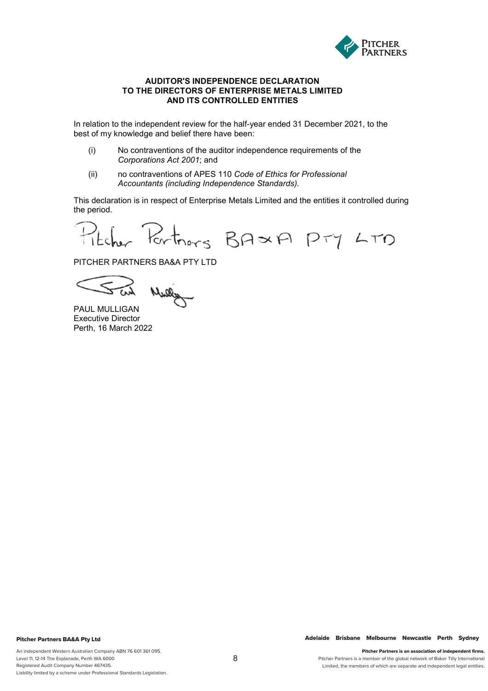

#### **AUDITOR'S INDEPENDENCE DECLARATION TO THE DIRECTORS OF ENTERPRISE METALS LIMITED AND ITS CONTROLLED ENTITIES**

In relation to the independent review for the half-year ended 31 December 2021, to the best of my knowledge and belief there have been:

- (i) No contraventions of the auditor independence requirements of the *Corporations Act 2001*; and
- (ii) no contraventions of APES 110 *Code of Ethics for Professional Accountants (including Independence Standards).*

This declaration is in respect of Enterprise Metals Limited and the entities it controlled during the period.

Pitcher Partners BAXA PTY LTD

PITCHER PARTNERS BA&A PTY LTD

Mulley

PAUL MULLIGAN Executive Director Perth, 16 March 2022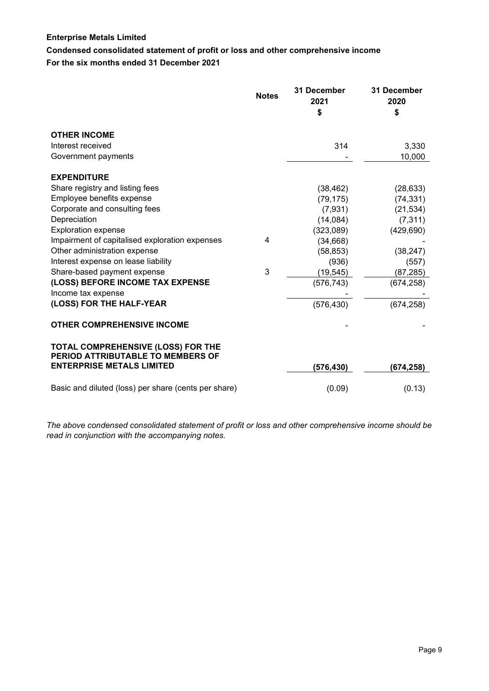**Condensed consolidated statement of profit or loss and other comprehensive income For the six months ended 31 December 2021**

|                                                                         | <b>Notes</b> | 31 December<br>2021<br>\$ | 31 December<br>2020<br>\$ |
|-------------------------------------------------------------------------|--------------|---------------------------|---------------------------|
| <b>OTHER INCOME</b>                                                     |              |                           |                           |
| Interest received                                                       |              | 314                       | 3,330                     |
| Government payments                                                     |              |                           | 10,000                    |
| <b>EXPENDITURE</b>                                                      |              |                           |                           |
| Share registry and listing fees                                         |              | (38, 462)                 | (28, 633)                 |
| Employee benefits expense                                               |              | (79, 175)                 | (74, 331)                 |
| Corporate and consulting fees                                           |              | (7,931)                   | (21, 534)                 |
| Depreciation                                                            |              | (14,084)                  | (7, 311)                  |
| <b>Exploration expense</b>                                              |              | (323,089)                 | (429, 690)                |
| Impairment of capitalised exploration expenses                          | 4            | (34, 668)                 |                           |
| Other administration expense                                            |              | (58, 853)                 | (38, 247)                 |
| Interest expense on lease liability                                     |              | (936)                     | (557)                     |
| Share-based payment expense                                             | 3            | (19, 545)                 | (87, 285)                 |
| (LOSS) BEFORE INCOME TAX EXPENSE<br>Income tax expense                  |              | (576, 743)                | (674, 258)                |
| (LOSS) FOR THE HALF-YEAR                                                |              | (576, 430)                | (674, 258)                |
| <b>OTHER COMPREHENSIVE INCOME</b>                                       |              |                           |                           |
| TOTAL COMPREHENSIVE (LOSS) FOR THE<br>PERIOD ATTRIBUTABLE TO MEMBERS OF |              |                           |                           |
| <b>ENTERPRISE METALS LIMITED</b>                                        |              | (576, 430)                | (674, 258)                |
| Basic and diluted (loss) per share (cents per share)                    |              | (0.09)                    | (0.13)                    |

*The above condensed consolidated statement of profit or loss and other comprehensive income should be read in conjunction with the accompanying notes.*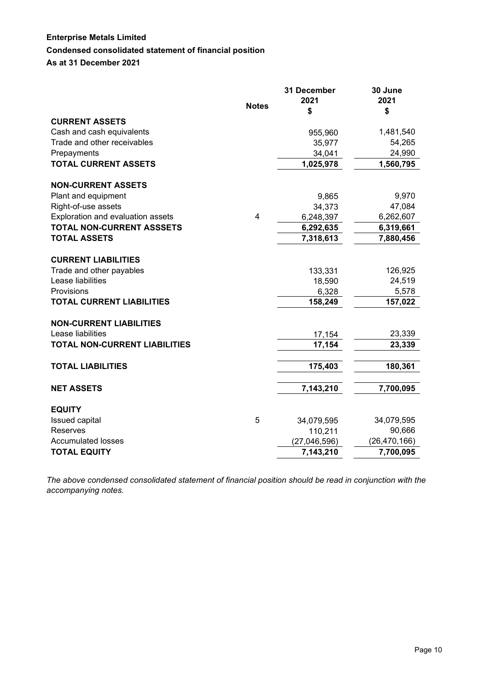# **Enterprise Metals Limited Condensed consolidated statement of financial position**

**As at 31 December 2021**

|                                   |                | 31 December  | 30 June        |
|-----------------------------------|----------------|--------------|----------------|
|                                   | <b>Notes</b>   | 2021         | 2021           |
|                                   |                | \$           | \$             |
| <b>CURRENT ASSETS</b>             |                |              |                |
| Cash and cash equivalents         |                | 955,960      | 1,481,540      |
| Trade and other receivables       |                | 35,977       | 54,265         |
| Prepayments                       |                | 34,041       | 24,990         |
| <b>TOTAL CURRENT ASSETS</b>       |                | 1,025,978    | 1,560,795      |
|                                   |                |              |                |
| <b>NON-CURRENT ASSETS</b>         |                |              |                |
| Plant and equipment               |                | 9,865        | 9,970          |
| Right-of-use assets               |                | 34,373       | 47,084         |
| Exploration and evaluation assets | $\overline{4}$ | 6,248,397    | 6,262,607      |
| TOTAL NON-CURRENT ASSSETS         |                | 6,292,635    | 6,319,661      |
| <b>TOTAL ASSETS</b>               |                | 7,318,613    | 7,880,456      |
|                                   |                |              |                |
| <b>CURRENT LIABILITIES</b>        |                |              |                |
| Trade and other payables          |                | 133,331      | 126,925        |
| Lease liabilities                 |                | 18,590       | 24,519         |
| Provisions                        |                | 6,328        | 5,578          |
| <b>TOTAL CURRENT LIABILITIES</b>  |                | 158,249      | 157,022        |
|                                   |                |              |                |
| <b>NON-CURRENT LIABILITIES</b>    |                |              |                |
| Lease liabilities                 |                | 17,154       | 23,339         |
| TOTAL NON-CURRENT LIABILITIES     |                | 17,154       | 23,339         |
|                                   |                |              |                |
| <b>TOTAL LIABILITIES</b>          |                | 175,403      | 180,361        |
|                                   |                |              |                |
| <b>NET ASSETS</b>                 |                | 7,143,210    | 7,700,095      |
|                                   |                |              |                |
| <b>EQUITY</b>                     |                |              |                |
| Issued capital                    | 5              | 34,079,595   | 34,079,595     |
| Reserves                          |                | 110,211      | 90,666         |
| <b>Accumulated losses</b>         |                | (27,046,596) | (26, 470, 166) |
| <b>TOTAL EQUITY</b>               |                | 7,143,210    | 7,700,095      |

*The above condensed consolidated statement of financial position should be read in conjunction with the accompanying notes.*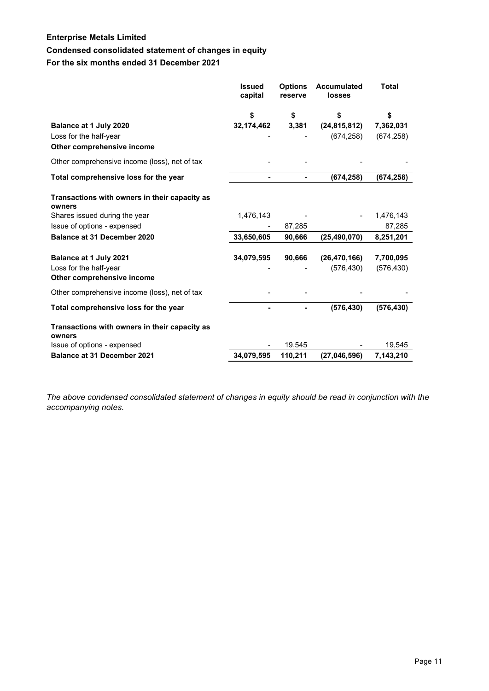# **Condensed consolidated statement of changes in equity**

# **For the six months ended 31 December 2021**

|                                                         | <b>Issued</b><br>capital | <b>Options</b><br>reserve | <b>Accumulated</b><br>losses | <b>Total</b> |
|---------------------------------------------------------|--------------------------|---------------------------|------------------------------|--------------|
|                                                         | \$                       | \$                        | \$                           | \$           |
| Balance at 1 July 2020                                  | 32,174,462               | 3,381                     | (24, 815, 812)               | 7,362,031    |
| Loss for the half-year                                  |                          |                           | (674, 258)                   | (674, 258)   |
| Other comprehensive income                              |                          |                           |                              |              |
| Other comprehensive income (loss), net of tax           |                          |                           |                              |              |
| Total comprehensive loss for the year                   |                          |                           | (674, 258)                   | (674, 258)   |
| Transactions with owners in their capacity as<br>owners |                          |                           |                              |              |
| Shares issued during the year                           | 1,476,143                |                           |                              | 1,476,143    |
| Issue of options - expensed                             |                          | 87,285                    |                              | 87,285       |
| <b>Balance at 31 December 2020</b>                      | 33,650,605               | 90,666                    | (25, 490, 070)               | 8,251,201    |
| Balance at 1 July 2021                                  | 34,079,595               | 90,666                    | (26, 470, 166)               | 7,700,095    |
| Loss for the half-year<br>Other comprehensive income    |                          |                           | (576, 430)                   | (576, 430)   |
| Other comprehensive income (loss), net of tax           |                          |                           |                              |              |
| Total comprehensive loss for the year                   |                          |                           | (576, 430)                   | (576, 430)   |
| Transactions with owners in their capacity as<br>owners |                          |                           |                              |              |
| Issue of options - expensed                             |                          | 19,545                    |                              | 19,545       |
| <b>Balance at 31 December 2021</b>                      | 34,079,595               | 110,211                   | (27,046,596)                 | 7,143,210    |

*The above condensed consolidated statement of changes in equity should be read in conjunction with the accompanying notes.*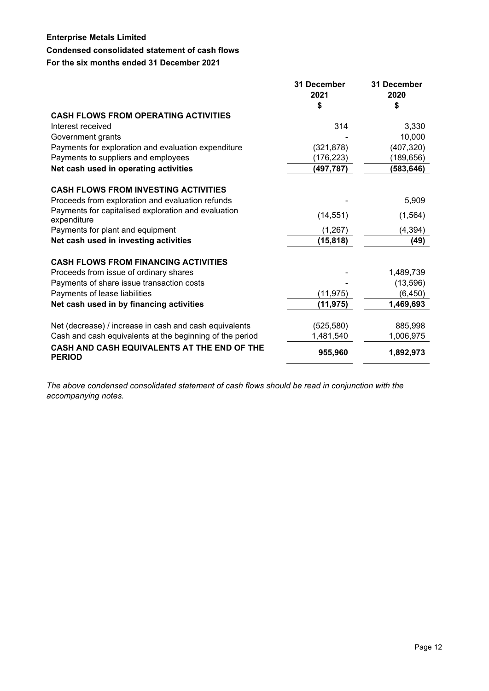# **Condensed consolidated statement of cash flows**

#### **For the six months ended 31 December 2021**

|                                                                    | 31 December | 31 December |
|--------------------------------------------------------------------|-------------|-------------|
|                                                                    | 2021        | 2020        |
|                                                                    | S           | \$          |
| <b>CASH FLOWS FROM OPERATING ACTIVITIES</b>                        |             |             |
| Interest received                                                  | 314         | 3,330       |
| Government grants                                                  |             | 10,000      |
| Payments for exploration and evaluation expenditure                | (321, 878)  | (407, 320)  |
| Payments to suppliers and employees                                | (176, 223)  | (189,656)   |
| Net cash used in operating activities                              | (497, 787)  | (583, 646)  |
| <b>CASH FLOWS FROM INVESTING ACTIVITIES</b>                        |             |             |
| Proceeds from exploration and evaluation refunds                   |             | 5,909       |
| Payments for capitalised exploration and evaluation<br>expenditure | (14, 551)   | (1, 564)    |
| Payments for plant and equipment                                   | (1, 267)    | (4, 394)    |
| Net cash used in investing activities                              | (15, 818)   | (49)        |
| <b>CASH FLOWS FROM FINANCING ACTIVITIES</b>                        |             |             |
| Proceeds from issue of ordinary shares                             |             | 1,489,739   |
| Payments of share issue transaction costs                          |             | (13,596)    |
| Payments of lease liabilities                                      | (11, 975)   | (6, 450)    |
| Net cash used in by financing activities                           | (11, 975)   | 1,469,693   |
| Net (decrease) / increase in cash and cash equivalents             | (525, 580)  | 885,998     |
| Cash and cash equivalents at the beginning of the period           | 1,481,540   | 1,006,975   |
| CASH AND CASH EQUIVALENTS AT THE END OF THE<br><b>PERIOD</b>       | 955,960     | 1,892,973   |

*The above condensed consolidated statement of cash flows should be read in conjunction with the accompanying notes.*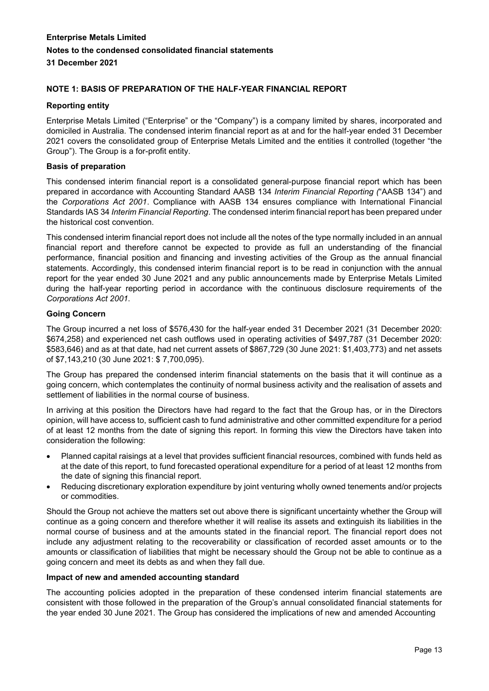# **NOTE 1: BASIS OF PREPARATION OF THE HALF-YEAR FINANCIAL REPORT**

#### **Reporting entity**

Enterprise Metals Limited ("Enterprise" or the "Company") is a company limited by shares, incorporated and domiciled in Australia. The condensed interim financial report as at and for the half-year ended 31 December 2021 covers the consolidated group of Enterprise Metals Limited and the entities it controlled (together "the Group"). The Group is a for-profit entity.

# **Basis of preparation**

This condensed interim financial report is a consolidated general-purpose financial report which has been prepared in accordance with Accounting Standard AASB 134 *Interim Financial Reporting (*"AASB 134") and the *Corporations Act 2001*. Compliance with AASB 134 ensures compliance with International Financial Standards IAS 34 *Interim Financial Reporting*. The condensed interim financial report has been prepared under the historical cost convention.

This condensed interim financial report does not include all the notes of the type normally included in an annual financial report and therefore cannot be expected to provide as full an understanding of the financial performance, financial position and financing and investing activities of the Group as the annual financial statements. Accordingly, this condensed interim financial report is to be read in conjunction with the annual report for the year ended 30 June 2021 and any public announcements made by Enterprise Metals Limited during the half-year reporting period in accordance with the continuous disclosure requirements of the *Corporations Act 2001*.

#### **Going Concern**

The Group incurred a net loss of \$576,430 for the half-year ended 31 December 2021 (31 December 2020: \$674,258) and experienced net cash outflows used in operating activities of \$497,787 (31 December 2020: \$583,646) and as at that date, had net current assets of \$867,729 (30 June 2021: \$1,403,773) and net assets of \$7,143,210 (30 June 2021: \$ 7,700,095).

The Group has prepared the condensed interim financial statements on the basis that it will continue as a going concern, which contemplates the continuity of normal business activity and the realisation of assets and settlement of liabilities in the normal course of business.

In arriving at this position the Directors have had regard to the fact that the Group has, or in the Directors opinion, will have access to, sufficient cash to fund administrative and other committed expenditure for a period of at least 12 months from the date of signing this report. In forming this view the Directors have taken into consideration the following:

- Planned capital raisings at a level that provides sufficient financial resources, combined with funds held as at the date of this report, to fund forecasted operational expenditure for a period of at least 12 months from the date of signing this financial report.
- Reducing discretionary exploration expenditure by joint venturing wholly owned tenements and/or projects or commodities.

Should the Group not achieve the matters set out above there is significant uncertainty whether the Group will continue as a going concern and therefore whether it will realise its assets and extinguish its liabilities in the normal course of business and at the amounts stated in the financial report. The financial report does not include any adjustment relating to the recoverability or classification of recorded asset amounts or to the amounts or classification of liabilities that might be necessary should the Group not be able to continue as a going concern and meet its debts as and when they fall due.

#### **Impact of new and amended accounting standard**

The accounting policies adopted in the preparation of these condensed interim financial statements are consistent with those followed in the preparation of the Group's annual consolidated financial statements for the year ended 30 June 2021. The Group has considered the implications of new and amended Accounting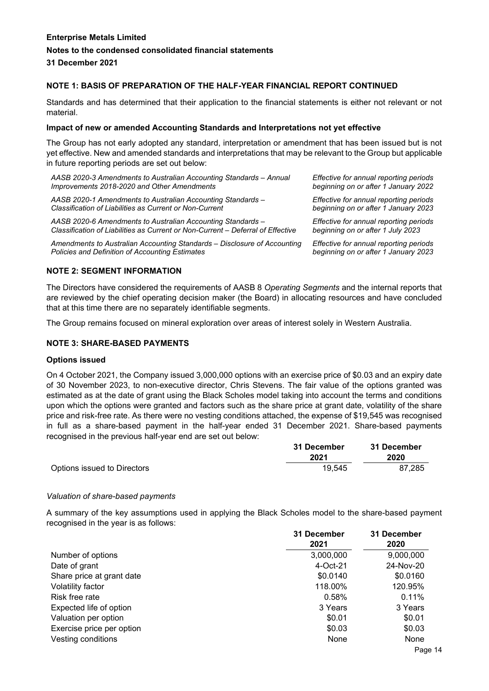# **NOTE 1: BASIS OF PREPARATION OF THE HALF-YEAR FINANCIAL REPORT CONTINUED**

Standards and has determined that their application to the financial statements is either not relevant or not material.

#### **Impact of new or amended Accounting Standards and Interpretations not yet effective**

The Group has not early adopted any standard, interpretation or amendment that has been issued but is not yet effective. New and amended standards and interpretations that may be relevant to the Group but applicable in future reporting periods are set out below:

| AASB 2020-3 Amendments to Australian Accounting Standards – Annual | Effective for annual reporting periods |
|--------------------------------------------------------------------|----------------------------------------|
| Improvements 2018-2020 and Other Amendments                        | beginning on or after 1 January 2022   |
| AASB 2020-1 Amendments to Australian Accounting Standards -        | Effective for annual reporting periods |
| Classification of Liabilities as Current or Non-Current            | beginning on or after 1 January 2023   |
| AASB 2020-6 Amendments to Australian Accounting Standards -        | Effective for annual reporting periods |

*Classification of Liabilities as Current or Non-Current – Deferral of Effective*

*Amendments to Australian Accounting Standards – Disclosure of Accounting Policies and Definition of Accounting Estimates*

*beginning on or after 1 July 2023 Effective for annual reporting periods beginning on or after 1 January 2023*

#### **NOTE 2: SEGMENT INFORMATION**

The Directors have considered the requirements of AASB 8 *Operating Segments* and the internal reports that are reviewed by the chief operating decision maker (the Board) in allocating resources and have concluded that at this time there are no separately identifiable segments.

The Group remains focused on mineral exploration over areas of interest solely in Western Australia.

#### **NOTE 3: SHARE-BASED PAYMENTS**

#### **Options issued**

On 4 October 2021, the Company issued 3,000,000 options with an exercise price of \$0.03 and an expiry date of 30 November 2023, to non-executive director, Chris Stevens. The fair value of the options granted was estimated as at the date of grant using the Black Scholes model taking into account the terms and conditions upon which the options were granted and factors such as the share price at grant date, volatility of the share price and risk-free rate. As there were no vesting conditions attached, the expense of \$19,545 was recognised in full as a share-based payment in the half-year ended 31 December 2021. Share-based payments recognised in the previous half-year end are set out below:

|                             | 31 December | 31 December |
|-----------------------------|-------------|-------------|
|                             | 2021        | 2020        |
| Options issued to Directors | 19.545      | 87.285      |

#### *Valuation of share-based payments*

A summary of the key assumptions used in applying the Black Scholes model to the share-based payment recognised in the year is as follows:

|                           | 31 December<br>2021 | 31 December<br>2020 |
|---------------------------|---------------------|---------------------|
| Number of options         | 3,000,000           | 9,000,000           |
| Date of grant             | 4-Oct-21            | 24-Nov-20           |
| Share price at grant date | \$0.0140            | \$0.0160            |
| Volatility factor         | 118.00%             | 120.95%             |
| Risk free rate            | 0.58%               | 0.11%               |
| Expected life of option   | 3 Years             | 3 Years             |
| Valuation per option      | \$0.01              | \$0.01              |
| Exercise price per option | \$0.03              | \$0.03              |
| Vesting conditions        | None                | None                |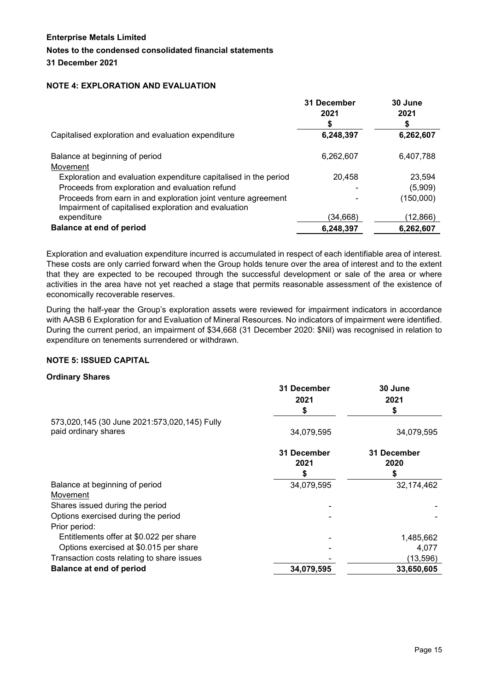# **NOTE 4: EXPLORATION AND EVALUATION**

|                                                                                                                       | 31 December<br>2021<br>S | 30 June<br>2021<br>S |
|-----------------------------------------------------------------------------------------------------------------------|--------------------------|----------------------|
| Capitalised exploration and evaluation expenditure                                                                    | 6,248,397                | 6,262,607            |
| Balance at beginning of period                                                                                        | 6,262,607                | 6,407,788            |
| Movement                                                                                                              |                          |                      |
| Exploration and evaluation expenditure capitalised in the period                                                      | 20,458                   | 23,594               |
| Proceeds from exploration and evaluation refund                                                                       |                          | (5,909)              |
| Proceeds from earn in and exploration joint venture agreement<br>Impairment of capitalised exploration and evaluation |                          | (150,000)            |
| expenditure                                                                                                           | (34.668)                 | (12,866)             |
| <b>Balance at end of period</b>                                                                                       | 6,248,397                | 6,262,607            |

Exploration and evaluation expenditure incurred is accumulated in respect of each identifiable area of interest. These costs are only carried forward when the Group holds tenure over the area of interest and to the extent that they are expected to be recouped through the successful development or sale of the area or where activities in the area have not yet reached a stage that permits reasonable assessment of the existence of economically recoverable reserves.

During the half-year the Group's exploration assets were reviewed for impairment indicators in accordance with AASB 6 Exploration for and Evaluation of Mineral Resources. No indicators of impairment were identified. During the current period, an impairment of \$34,668 (31 December 2020: \$Nil) was recognised in relation to expenditure on tenements surrendered or withdrawn.

#### **NOTE 5: ISSUED CAPITAL**

#### **Ordinary Shares**

|                                              | 31 December | 30 June     |
|----------------------------------------------|-------------|-------------|
|                                              | 2021        | 2021        |
|                                              | \$          | S           |
| 573,020,145 (30 June 2021:573,020,145) Fully |             |             |
| paid ordinary shares                         | 34,079,595  | 34,079,595  |
|                                              | 31 December | 31 December |
|                                              | 2021        | 2020        |
|                                              |             | \$          |
| Balance at beginning of period               | 34,079,595  | 32,174,462  |
| Movement                                     |             |             |
| Shares issued during the period              |             |             |
| Options exercised during the period          |             |             |
| Prior period:                                |             |             |
| Entitlements offer at \$0.022 per share      |             | 1,485,662   |
| Options exercised at \$0.015 per share       |             | 4,077       |
| Transaction costs relating to share issues   |             | (13,596)    |
| <b>Balance at end of period</b>              | 34,079,595  | 33,650,605  |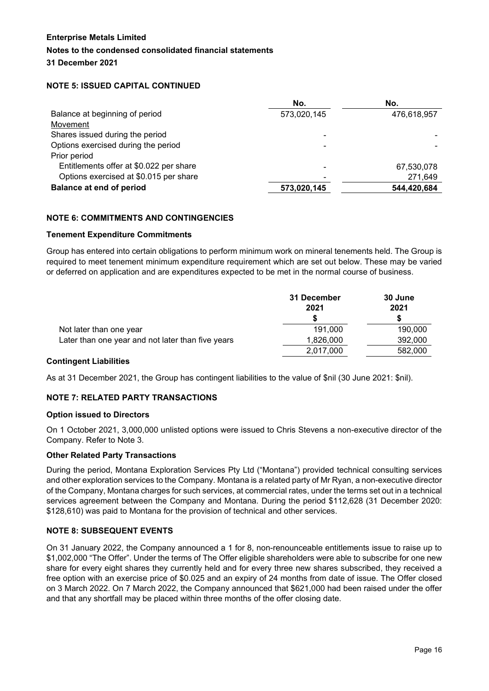# **NOTE 5: ISSUED CAPITAL CONTINUED**

|                                         | No.         | No.         |
|-----------------------------------------|-------------|-------------|
| Balance at beginning of period          | 573,020,145 | 476,618,957 |
| Movement                                |             |             |
| Shares issued during the period         |             |             |
| Options exercised during the period     | ۰           |             |
| Prior period                            |             |             |
| Entitlements offer at \$0.022 per share | ۰           | 67,530,078  |
| Options exercised at \$0.015 per share  | ۰           | 271,649     |
| <b>Balance at end of period</b>         | 573,020,145 | 544,420,684 |

# **NOTE 6: COMMITMENTS AND CONTINGENCIES**

#### **Tenement Expenditure Commitments**

Group has entered into certain obligations to perform minimum work on mineral tenements held. The Group is required to meet tenement minimum expenditure requirement which are set out below. These may be varied or deferred on application and are expenditures expected to be met in the normal course of business.

|                                                   | 31 December | 30 June |
|---------------------------------------------------|-------------|---------|
|                                                   | 2021        | 2021    |
|                                                   |             |         |
| Not later than one year                           | 191.000     | 190,000 |
| Later than one year and not later than five years | 1,826,000   | 392,000 |
|                                                   | 2,017,000   | 582,000 |

#### **Contingent Liabilities**

As at 31 December 2021, the Group has contingent liabilities to the value of \$nil (30 June 2021: \$nil).

#### **NOTE 7: RELATED PARTY TRANSACTIONS**

#### **Option issued to Directors**

On 1 October 2021, 3,000,000 unlisted options were issued to Chris Stevens a non-executive director of the Company. Refer to Note 3.

#### **Other Related Party Transactions**

During the period, Montana Exploration Services Pty Ltd ("Montana") provided technical consulting services and other exploration services to the Company. Montana is a related party of Mr Ryan, a non-executive director of the Company, Montana charges for such services, at commercial rates, under the terms set out in a technical services agreement between the Company and Montana. During the period \$112,628 (31 December 2020: \$128,610) was paid to Montana for the provision of technical and other services.

#### **NOTE 8: SUBSEQUENT EVENTS**

On 31 January 2022, the Company announced a 1 for 8, non-renounceable entitlements issue to raise up to \$1,002,000 "The Offer". Under the terms of The Offer eligible shareholders were able to subscribe for one new share for every eight shares they currently held and for every three new shares subscribed, they received a free option with an exercise price of \$0.025 and an expiry of 24 months from date of issue. The Offer closed on 3 March 2022. On 7 March 2022, the Company announced that \$621,000 had been raised under the offer and that any shortfall may be placed within three months of the offer closing date.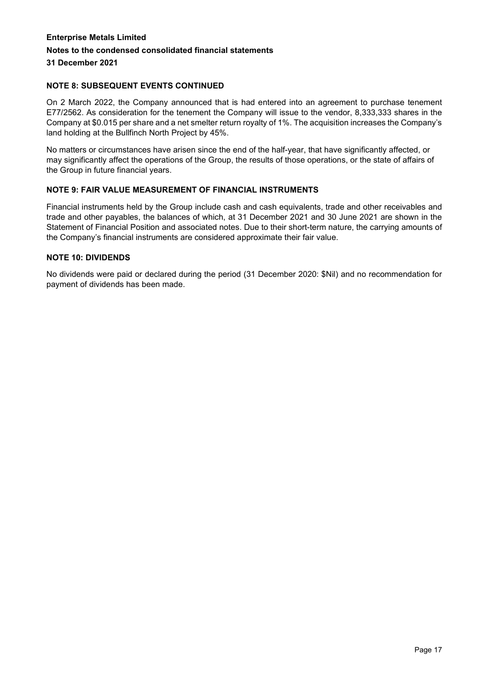# **NOTE 8: SUBSEQUENT EVENTS CONTINUED**

On 2 March 2022, the Company announced that is had entered into an agreement to purchase tenement E77/2562. As consideration for the tenement the Company will issue to the vendor, 8,333,333 shares in the Company at \$0.015 per share and a net smelter return royalty of 1%. The acquisition increases the Company's land holding at the Bullfinch North Project by 45%.

No matters or circumstances have arisen since the end of the half-year, that have significantly affected, or may significantly affect the operations of the Group, the results of those operations, or the state of affairs of the Group in future financial years.

#### **NOTE 9: FAIR VALUE MEASUREMENT OF FINANCIAL INSTRUMENTS**

Financial instruments held by the Group include cash and cash equivalents, trade and other receivables and trade and other payables, the balances of which, at 31 December 2021 and 30 June 2021 are shown in the Statement of Financial Position and associated notes. Due to their short-term nature, the carrying amounts of the Company's financial instruments are considered approximate their fair value.

#### **NOTE 10: DIVIDENDS**

No dividends were paid or declared during the period (31 December 2020: \$Nil) and no recommendation for payment of dividends has been made.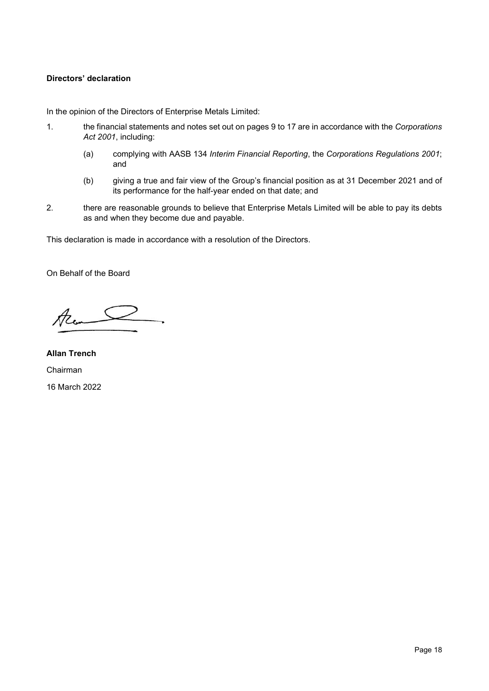# **Directors' declaration**

In the opinion of the Directors of Enterprise Metals Limited:

- 1. the financial statements and notes set out on pages 9 to 17 are in accordance with the *Corporations Act 2001*, including:
	- (a) complying with AASB 134 *Interim Financial Reporting*, the *Corporations Regulations 2001*; and
	- (b) giving a true and fair view of the Group's financial position as at 31 December 2021 and of its performance for the half-year ended on that date; and
- 2. there are reasonable grounds to believe that Enterprise Metals Limited will be able to pay its debts as and when they become due and payable.

This declaration is made in accordance with a resolution of the Directors.

On Behalf of the Board

Rem

**Allan Trench** Chairman 16 March 2022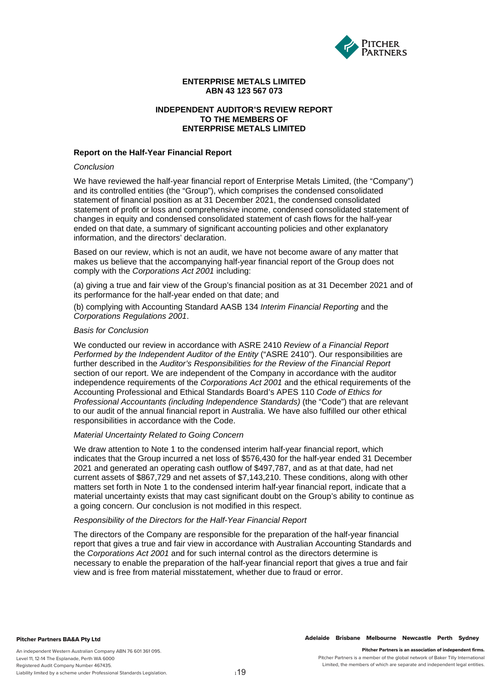

#### **ENTERPRISE METALS LIMITED ABN 43 123 567 073**

#### **INDEPENDENT AUDITOR'S REVIEW REPORT TO THE MEMBERS OF ENTERPRISE METALS LIMITED**

#### **Report on the Half-Year Financial Report**

#### *Conclusion*

We have reviewed the half-year financial report of Enterprise Metals Limited, (the "Company") and its controlled entities (the "Group"), which comprises the condensed consolidated statement of financial position as at 31 December 2021, the condensed consolidated statement of profit or loss and comprehensive income, condensed consolidated statement of changes in equity and condensed consolidated statement of cash flows for the half-year ended on that date, a summary of significant accounting policies and other explanatory information, and the directors' declaration.

Based on our review, which is not an audit, we have not become aware of any matter that makes us believe that the accompanying half-year financial report of the Group does not comply with the *Corporations Act 2001* including:

(a) giving a true and fair view of the Group's financial position as at 31 December 2021 and of its performance for the half-year ended on that date; and

(b) complying with Accounting Standard AASB 134 *Interim Financial Reporting* and the *Corporations Regulations 2001*.

#### *Basis for Conclusion*

We conducted our review in accordance with ASRE 2410 *Review of a Financial Report Performed by the Independent Auditor of the Entity* ("ASRE 2410"). Our responsibilities are further described in the *Auditor's Responsibilities for the Review of the Financial Report*  section of our report. We are independent of the Company in accordance with the auditor independence requirements of the *Corporations Act 2001* and the ethical requirements of the Accounting Professional and Ethical Standards Board's APES 110 *Code of Ethics for Professional Accountants (including Independence Standards)* (the "Code") that are relevant to our audit of the annual financial report in Australia. We have also fulfilled our other ethical responsibilities in accordance with the Code.

#### *Material Uncertainty Related to Going Concern*

We draw attention to Note 1 to the condensed interim half-year financial report, which indicates that the Group incurred a net loss of \$576,430 for the half-year ended 31 December 2021 and generated an operating cash outflow of \$497,787, and as at that date, had net current assets of \$867,729 and net assets of \$7,143,210. These conditions, along with other matters set forth in Note 1 to the condensed interim half-year financial report, indicate that a material uncertainty exists that may cast significant doubt on the Group's ability to continue as a going concern. Our conclusion is not modified in this respect.

#### *Responsibility of the Directors for the Half-Year Financial Report*

The directors of the Company are responsible for the preparation of the half-year financial report that gives a true and fair view in accordance with Australian Accounting Standards and the *Corporations Act 2001* and for such internal control as the directors determine is necessary to enable the preparation of the half-year financial report that gives a true and fair view and is free from material misstatement, whether due to fraud or error.